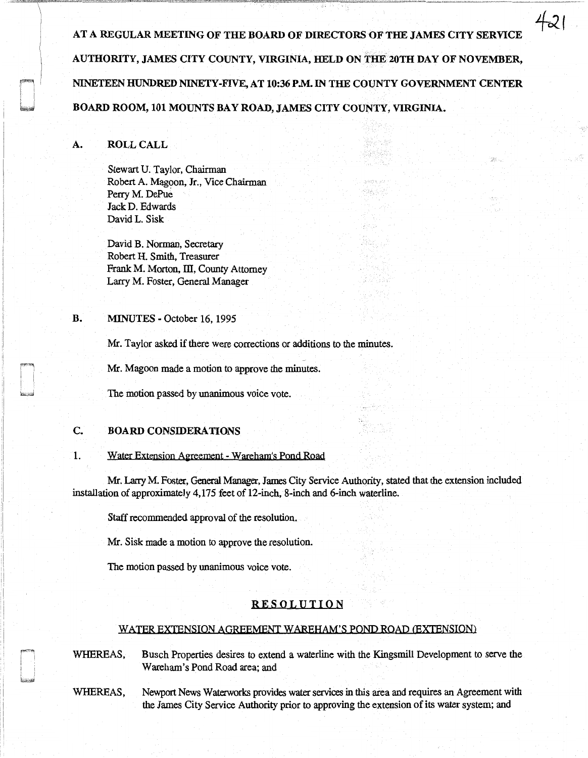AT A REGULAR MEETING OF THE BOARD OF DIRECTORS OF THE JAMES CITY SERVICE AUTHORITY, JAMES CITY COUNTY, VIRGINIA, HELD ON THE 20TH DAY OF NOVEMBER, NINETEEN HUNDRED NINETY-FIVE, AT 10:36 P.M. IN THE COUNTY GOVERNMENT CENTER BOARD ROOM, 101 MOUNTS BAY ROAD, JAMES CITY COUNTY, VIRGINIA.

> alka Shadesta

Vija je godi

ka<sub>rta</sub>

421

97.

## A. ROLL CALL

Stewart U. Taylor, Chairman Robert A. Magoon, Jr., Vice Chairman Perry M. DePue Jack D. Edwards David L. Sisk

David B. Norman, Secretary Robert H. Smith, Treasurer Frank M. Morton, III, County Attorney Larry M. Foster, General Manager

### B. MINUTES - October 16, 1995

Mr. Taylor asked if there were corrections or additions to the minutes.

Mr. Magoon made a motion to approve the minutes.

The motion passed by unanimous voice vote.

## C. BOARD CONSIDERATIONS

#### 1. Water Extension Agreement - Wareham's Pond Road

Mr. Larry M. Foster, General Manager, James City Service Authority, stated that the extension included installation of approximately 4,175 feet of 12-inch, 8-inch and 6-inch waterline.

Staff recommended approval of the resolution.

Mr. Sisk made a motion to approve the resolution.

The motion passed by unanimous voice vote.

### RESOLUTION

#### WATER EXTENSION AGREEMENT WAREHAM'S POND ROAD (EXTENSION)

WHEREAS, Busch Properties desires to extend a waterline with the Kingsmill Development to serve the Wareham's Pond Road area; and

WHEREAS, Newport News Waterworks provides water services in this area and requires an Agreement with the James City Service Authority prior to approving the extension of its water system; and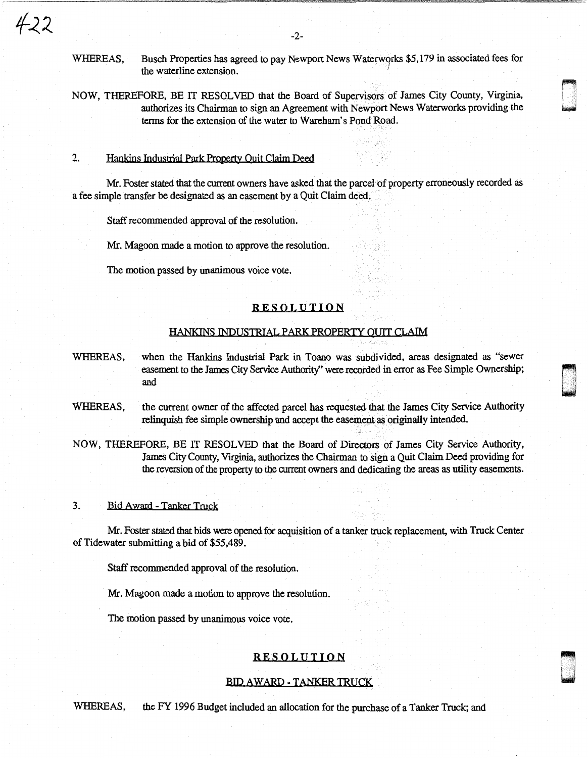WHEREAS, Busch Properties has agreed to pay Newport News Waterwqrks \$5,179 in associated fees for the waterline extension. '

ti wa<br>ti wa 1950<br>ti wa 1950

905)<br>1906<br>1906

NOW, THEREFORE, BE IT RESOLVED that the Board of Supervisors of James City County, Virginia, authorizes its Chairman to sign an Agreement with Newport News Waterworks providing the terms for the extension of the water to Wareham's Pond Road.

2. Hankins Industrial Park Property Quit Claim Deed

Mr. Foster stated that the current owners have asked that the parcel of property erroneously recorded as a fee simple transfer be designated as an easement by a Quit Claim deed.

Staff recommended approval of the resolution.

Mr. Magoon made a motion to approve the resolution.

The motion passed by unanimous voice vote.

## RESOLUTION

### HANKINS INDUSTRIAL PARK PROPERTY QUIT CLAIM

- WHEREAS, when the Hankins Industrial Park in Toano was subdivided, areas designated as "sewer easement to the James City Service Authority' were recorded in error as Fee Simple Ownership; and
- WHEREAS, the current owner of the affected parcel has requested that the James City Service Authority relinquish fee simple ownership and accept the easement as originally intended.

NOW, THEREFORE, BE IT RESOLVED that the Board of Directors of James City Service Authority, James City County, Virginia, authorizes the Chairman to sign a Quit Claim Deed providing for the reversion of the property to the current owners and dedicating the areas as utility easements.

## 3. Bid Award - Tanker Truck

Mr. Foster stated that bids were opened for acquisition of a tanker truck replacement, with Truck Center of Tidewater submitting a bid of \$55,489.

Staff recommended approval of the resolution.

Mr. Magoon made a motion to approve the resolution.

The motion passed by unanimous voice vote.

## RESOLUTION

## BID AWARD - TANKER TRUCK

WHEREAS, the FY 1996 Budget included an allocation for the purchase of a Tanker Truck; and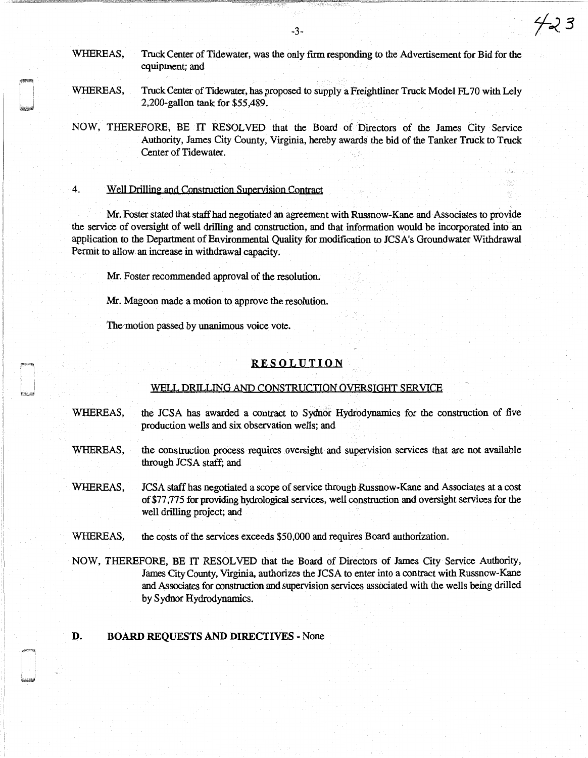WHEREAS, Truck Center of Tidewater, was the only firm responding to the Advertisement for Bid for the equipment; and

WHEREAS, Truck Center of Tidewater, has proposed to supply a Freightliner Truck Model FL70 with Lely 2,200-gallon tank for \$55,489.

NOW, THEREFORE, BE IT RESOLVED that the Board of Directors of the James City Service Authority, James City County, Virginia, hereby awards the bid of the Tanker Truck to Truck Center of Tidewater.

## 4. Well Drilling and Construction Supervision Contract

Mr. Foster stated that staff had negotiated an agreement with Russnow-Kane and Associates to provide the service of oversight of well drilling and construction, and that information would be incorporated into an application to the Department of Environmental Quality for modification to JCSA's Groundwater Withdrawal Permit to allow an increase in withdrawal capacity.

Mr. Foster recommended approval of the resolution.

Mr. Magoon made a motion to approve the resolution.

The motion passed by unanimous voice vote.

## RESOLUTION

#### WELL DRILLING AND CONSTRUCTION OVERSIGHT SERVICE

- WHEREAS, the JCSA has awarded a contract to Sydnor Hydrodynamics for the construction of five production wells and six observation wells; and
- WHEREAS, the construction process requires oversight and supervision services that are not available through JCSA staff; and
- WHEREAS, JCSA staff has negotiated a scope of service through Russnow-Kane and Associates at a cost of \$77 ,77 *5* for providing hydrological services, well construction and oversight services for the well drilling project; and
- WHEREAS, the costs of the services exceeds \$50,000 and requires Board authorization.
- NOW, THEREFORE, BE IT RESOLVED that the Board of Directors of James City Service Authority, James City County, Vtrginia, authorizes the JCSA to enter into a contract with Russnow-Kane and Associates for construction and supervision services associated with the wells being drilled by Sydnor Hydrodynamics.

#### D. BOARD REQUESTS AND DIRECTIVES - None

-3-

423